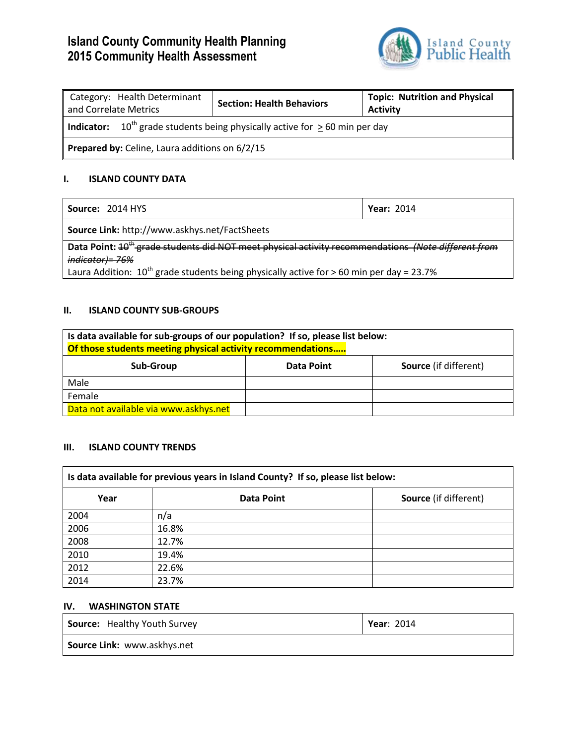# **Island County Community Health Planning 2015 Community Health Assessment**



| Category: Health Determinant<br>and Correlate Metrics                                               | <b>Section: Health Behaviors</b> | <b>Topic: Nutrition and Physical</b><br><b>Activity</b> |  |
|-----------------------------------------------------------------------------------------------------|----------------------------------|---------------------------------------------------------|--|
| <b>Indicator:</b> 10 <sup>th</sup> grade students being physically active for $\geq$ 60 min per day |                                  |                                                         |  |
| Prepared by: Celine, Laura additions on 6/2/15                                                      |                                  |                                                         |  |

## **I. ISLAND COUNTY DATA**

| <b>Year: 2014</b>                                                                                               |  |  |
|-----------------------------------------------------------------------------------------------------------------|--|--|
| Source Link: http://www.askhys.net/FactSheets                                                                   |  |  |
| Data Point: 10 <sup>th</sup> grade students did NOT meet physical activity recommendations (Note different from |  |  |
| indicator)= 76%                                                                                                 |  |  |
| Laura Addition: $10^{th}$ grade students being physically active for $\geq 60$ min per day = 23.7%              |  |  |
|                                                                                                                 |  |  |

## **II. ISLAND COUNTY SUB-GROUPS**

| Is data available for sub-groups of our population? If so, please list below: |                   |                              |  |  |
|-------------------------------------------------------------------------------|-------------------|------------------------------|--|--|
| Of those students meeting physical activity recommendations                   |                   |                              |  |  |
| Sub-Group                                                                     | <b>Data Point</b> | <b>Source</b> (if different) |  |  |
| Male                                                                          |                   |                              |  |  |
| Female                                                                        |                   |                              |  |  |
| Data not available via www.askhys.net                                         |                   |                              |  |  |

#### **III. ISLAND COUNTY TRENDS**

| Is data available for previous years in Island County? If so, please list below: |            |                              |  |  |
|----------------------------------------------------------------------------------|------------|------------------------------|--|--|
| Year                                                                             | Data Point | <b>Source</b> (if different) |  |  |
| 2004                                                                             | n/a        |                              |  |  |
| 2006                                                                             | 16.8%      |                              |  |  |
| 2008                                                                             | 12.7%      |                              |  |  |
| 2010                                                                             | 19.4%      |                              |  |  |
| 2012                                                                             | 22.6%      |                              |  |  |
| 2014                                                                             | 23.7%      |                              |  |  |

## **IV. WASHINGTON STATE**

| Source: Healthy Youth Survey | <b>Year: 2014</b> |  |
|------------------------------|-------------------|--|
| Source Link: www.askhys.net  |                   |  |